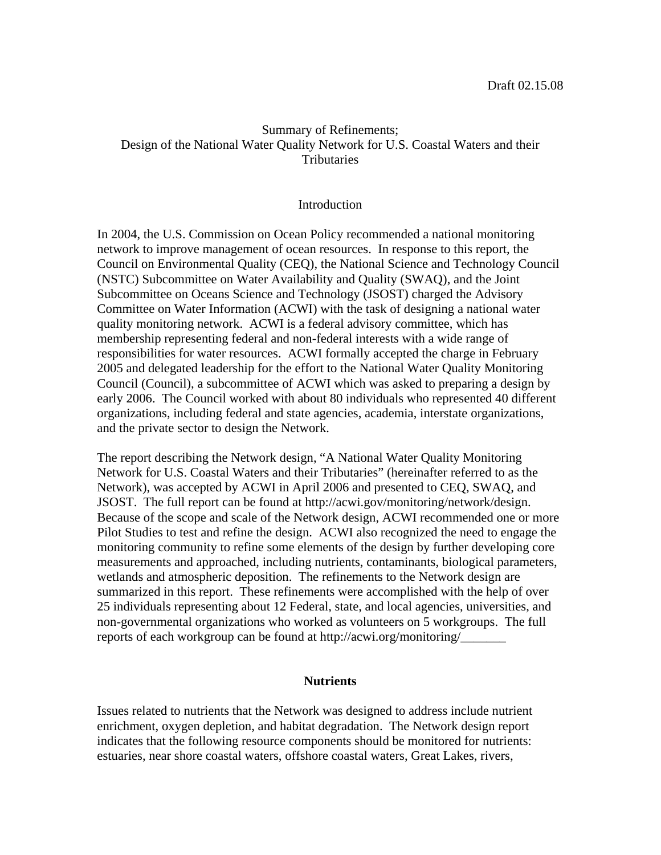## Summary of Refinements; Design of the National Water Quality Network for U.S. Coastal Waters and their **Tributaries**

### **Introduction**

In 2004, the U.S. Commission on Ocean Policy recommended a national monitoring network to improve management of ocean resources. In response to this report, the Council on Environmental Quality (CEQ), the National Science and Technology Council (NSTC) Subcommittee on Water Availability and Quality (SWAQ), and the Joint Subcommittee on Oceans Science and Technology (JSOST) charged the Advisory Committee on Water Information (ACWI) with the task of designing a national water quality monitoring network. ACWI is a federal advisory committee, which has membership representing federal and non-federal interests with a wide range of responsibilities for water resources. ACWI formally accepted the charge in February 2005 and delegated leadership for the effort to the National Water Quality Monitoring Council (Council), a subcommittee of ACWI which was asked to preparing a design by early 2006. The Council worked with about 80 individuals who represented 40 different organizations, including federal and state agencies, academia, interstate organizations, and the private sector to design the Network.

The report describing the Network design, "A National Water Quality Monitoring Network for U.S. Coastal Waters and their Tributaries" (hereinafter referred to as the Network), was accepted by ACWI in April 2006 and presented to CEQ, SWAQ, and JSOST. The full report can be found at http://acwi.gov/monitoring/network/design. Because of the scope and scale of the Network design, ACWI recommended one or more Pilot Studies to test and refine the design. ACWI also recognized the need to engage the monitoring community to refine some elements of the design by further developing core measurements and approached, including nutrients, contaminants, biological parameters, wetlands and atmospheric deposition. The refinements to the Network design are summarized in this report. These refinements were accomplished with the help of over 25 individuals representing about 12 Federal, state, and local agencies, universities, and non-governmental organizations who worked as volunteers on 5 workgroups. The full reports of each workgroup can be found at http://acwi.org/monitoring/\_\_\_\_\_\_\_

#### **Nutrients**

Issues related to nutrients that the Network was designed to address include nutrient enrichment, oxygen depletion, and habitat degradation. The Network design report indicates that the following resource components should be monitored for nutrients: estuaries, near shore coastal waters, offshore coastal waters, Great Lakes, rivers,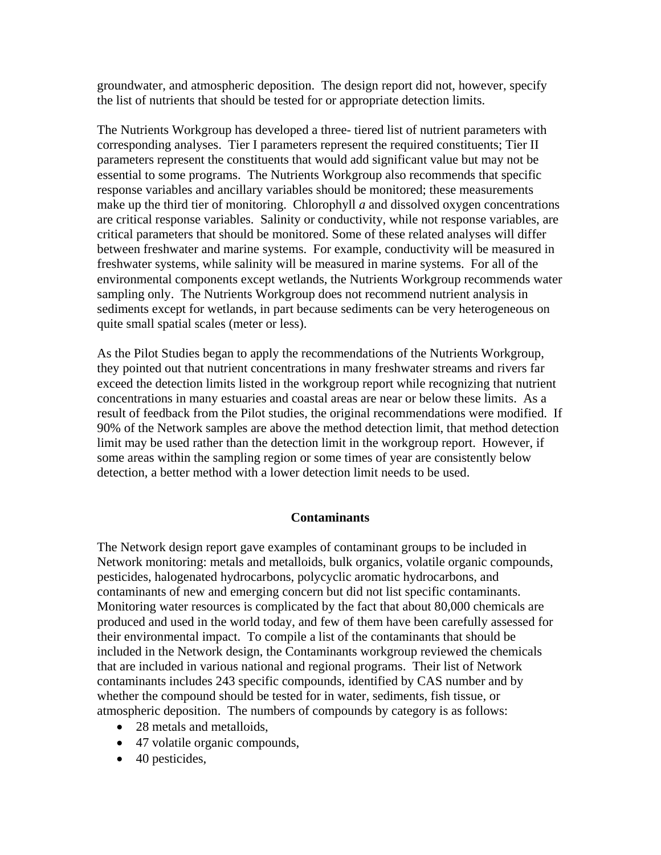groundwater, and atmospheric deposition. The design report did not, however, specify the list of nutrients that should be tested for or appropriate detection limits.

The Nutrients Workgroup has developed a three- tiered list of nutrient parameters with corresponding analyses. Tier I parameters represent the required constituents; Tier II parameters represent the constituents that would add significant value but may not be essential to some programs. The Nutrients Workgroup also recommends that specific response variables and ancillary variables should be monitored; these measurements make up the third tier of monitoring. Chlorophyll *a* and dissolved oxygen concentrations are critical response variables. Salinity or conductivity, while not response variables, are critical parameters that should be monitored. Some of these related analyses will differ between freshwater and marine systems. For example, conductivity will be measured in freshwater systems, while salinity will be measured in marine systems. For all of the environmental components except wetlands, the Nutrients Workgroup recommends water sampling only. The Nutrients Workgroup does not recommend nutrient analysis in sediments except for wetlands, in part because sediments can be very heterogeneous on quite small spatial scales (meter or less).

As the Pilot Studies began to apply the recommendations of the Nutrients Workgroup, they pointed out that nutrient concentrations in many freshwater streams and rivers far exceed the detection limits listed in the workgroup report while recognizing that nutrient concentrations in many estuaries and coastal areas are near or below these limits. As a result of feedback from the Pilot studies, the original recommendations were modified. If 90% of the Network samples are above the method detection limit, that method detection limit may be used rather than the detection limit in the workgroup report. However, if some areas within the sampling region or some times of year are consistently below detection, a better method with a lower detection limit needs to be used.

## **Contaminants**

The Network design report gave examples of contaminant groups to be included in Network monitoring: metals and metalloids, bulk organics, volatile organic compounds, pesticides, halogenated hydrocarbons, polycyclic aromatic hydrocarbons, and contaminants of new and emerging concern but did not list specific contaminants. Monitoring water resources is complicated by the fact that about 80,000 chemicals are produced and used in the world today, and few of them have been carefully assessed for their environmental impact. To compile a list of the contaminants that should be included in the Network design, the Contaminants workgroup reviewed the chemicals that are included in various national and regional programs. Their list of Network contaminants includes 243 specific compounds, identified by CAS number and by whether the compound should be tested for in water, sediments, fish tissue, or atmospheric deposition. The numbers of compounds by category is as follows:

- 28 metals and metalloids.
- 47 volatile organic compounds,
- 40 pesticides,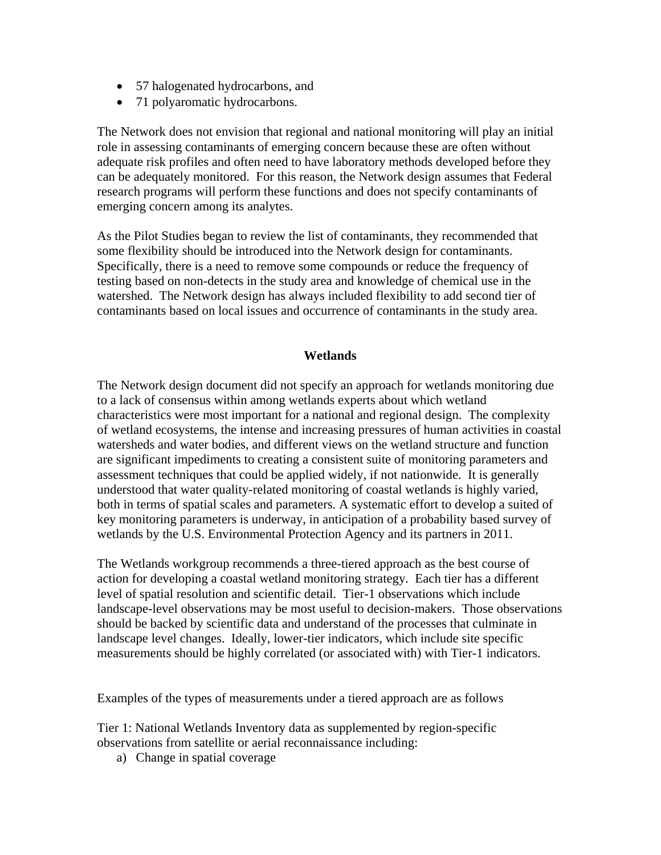- 57 halogenated hydrocarbons, and
- 71 polyaromatic hydrocarbons.

The Network does not envision that regional and national monitoring will play an initial role in assessing contaminants of emerging concern because these are often without adequate risk profiles and often need to have laboratory methods developed before they can be adequately monitored. For this reason, the Network design assumes that Federal research programs will perform these functions and does not specify contaminants of emerging concern among its analytes.

As the Pilot Studies began to review the list of contaminants, they recommended that some flexibility should be introduced into the Network design for contaminants. Specifically, there is a need to remove some compounds or reduce the frequency of testing based on non-detects in the study area and knowledge of chemical use in the watershed. The Network design has always included flexibility to add second tier of contaminants based on local issues and occurrence of contaminants in the study area.

## **Wetlands**

The Network design document did not specify an approach for wetlands monitoring due to a lack of consensus within among wetlands experts about which wetland characteristics were most important for a national and regional design. The complexity of wetland ecosystems, the intense and increasing pressures of human activities in coastal watersheds and water bodies, and different views on the wetland structure and function are significant impediments to creating a consistent suite of monitoring parameters and assessment techniques that could be applied widely, if not nationwide. It is generally understood that water quality-related monitoring of coastal wetlands is highly varied, both in terms of spatial scales and parameters. A systematic effort to develop a suited of key monitoring parameters is underway, in anticipation of a probability based survey of wetlands by the U.S. Environmental Protection Agency and its partners in 2011.

The Wetlands workgroup recommends a three-tiered approach as the best course of action for developing a coastal wetland monitoring strategy. Each tier has a different level of spatial resolution and scientific detail. Tier-1 observations which include landscape-level observations may be most useful to decision-makers. Those observations should be backed by scientific data and understand of the processes that culminate in landscape level changes. Ideally, lower-tier indicators, which include site specific measurements should be highly correlated (or associated with) with Tier-1 indicators.

Examples of the types of measurements under a tiered approach are as follows

Tier 1: National Wetlands Inventory data as supplemented by region-specific observations from satellite or aerial reconnaissance including:

a) Change in spatial coverage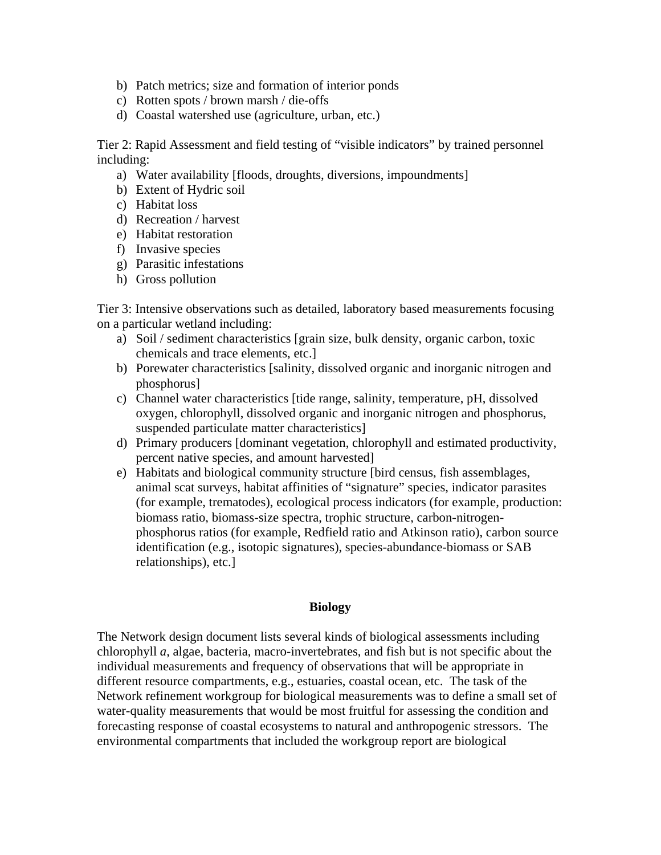- b) Patch metrics; size and formation of interior ponds
- c) Rotten spots / brown marsh / die-offs
- d) Coastal watershed use (agriculture, urban, etc.)

Tier 2: Rapid Assessment and field testing of "visible indicators" by trained personnel including:

- a) Water availability [floods, droughts, diversions, impoundments]
- b) Extent of Hydric soil
- c) Habitat loss
- d) Recreation / harvest
- e) Habitat restoration
- f) Invasive species
- g) Parasitic infestations
- h) Gross pollution

Tier 3: Intensive observations such as detailed, laboratory based measurements focusing on a particular wetland including:

- a) Soil / sediment characteristics [grain size, bulk density, organic carbon, toxic chemicals and trace elements, etc.]
- b) Porewater characteristics [salinity, dissolved organic and inorganic nitrogen and phosphorus]
- c) Channel water characteristics [tide range, salinity, temperature, pH, dissolved oxygen, chlorophyll, dissolved organic and inorganic nitrogen and phosphorus, suspended particulate matter characteristics]
- d) Primary producers [dominant vegetation, chlorophyll and estimated productivity, percent native species, and amount harvested]
- e) Habitats and biological community structure [bird census, fish assemblages, animal scat surveys, habitat affinities of "signature" species, indicator parasites (for example, trematodes), ecological process indicators (for example, production: biomass ratio, biomass-size spectra, trophic structure, carbon-nitrogenphosphorus ratios (for example, Redfield ratio and Atkinson ratio), carbon source identification (e.g., isotopic signatures), species-abundance-biomass or SAB relationships), etc.]

#### **Biology**

The Network design document lists several kinds of biological assessments including chlorophyll *a*, algae, bacteria, macro-invertebrates, and fish but is not specific about the individual measurements and frequency of observations that will be appropriate in different resource compartments, e.g., estuaries, coastal ocean, etc. The task of the Network refinement workgroup for biological measurements was to define a small set of water-quality measurements that would be most fruitful for assessing the condition and forecasting response of coastal ecosystems to natural and anthropogenic stressors. The environmental compartments that included the workgroup report are biological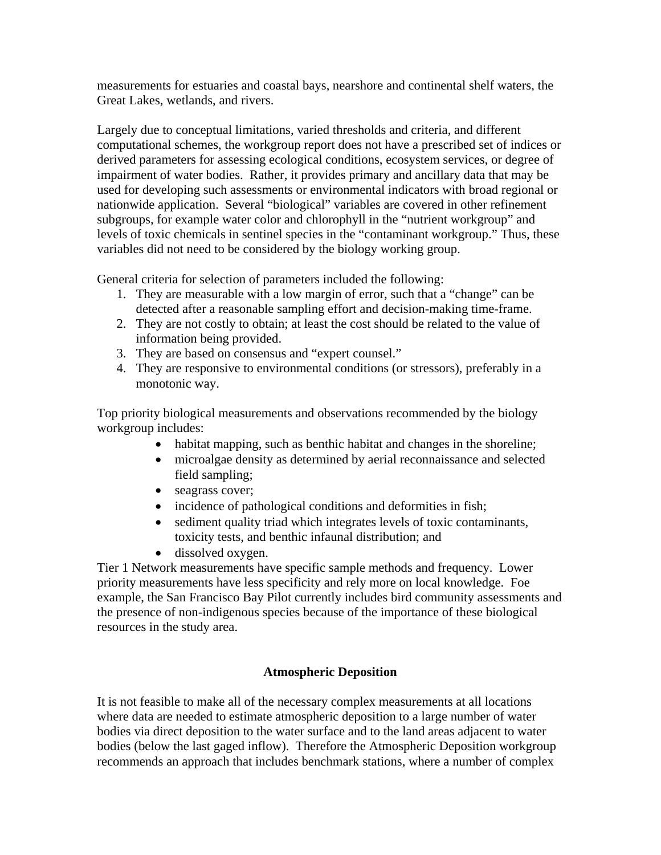measurements for estuaries and coastal bays, nearshore and continental shelf waters, the Great Lakes, wetlands, and rivers.

Largely due to conceptual limitations, varied thresholds and criteria, and different computational schemes, the workgroup report does not have a prescribed set of indices or derived parameters for assessing ecological conditions, ecosystem services, or degree of impairment of water bodies. Rather, it provides primary and ancillary data that may be used for developing such assessments or environmental indicators with broad regional or nationwide application. Several "biological" variables are covered in other refinement subgroups, for example water color and chlorophyll in the "nutrient workgroup" and levels of toxic chemicals in sentinel species in the "contaminant workgroup." Thus, these variables did not need to be considered by the biology working group.

General criteria for selection of parameters included the following:

- 1. They are measurable with a low margin of error, such that a "change" can be detected after a reasonable sampling effort and decision-making time-frame.
- 2. They are not costly to obtain; at least the cost should be related to the value of information being provided.
- 3. They are based on consensus and "expert counsel."
- 4. They are responsive to environmental conditions (or stressors), preferably in a monotonic way.

Top priority biological measurements and observations recommended by the biology workgroup includes:

- habitat mapping, such as benthic habitat and changes in the shoreline;
- microalgae density as determined by aerial reconnaissance and selected field sampling;
- seagrass cover;
- incidence of pathological conditions and deformities in fish;
- sediment quality triad which integrates levels of toxic contaminants, toxicity tests, and benthic infaunal distribution; and
- dissolved oxygen.

Tier 1 Network measurements have specific sample methods and frequency. Lower priority measurements have less specificity and rely more on local knowledge. Foe example, the San Francisco Bay Pilot currently includes bird community assessments and the presence of non-indigenous species because of the importance of these biological resources in the study area.

# **Atmospheric Deposition**

It is not feasible to make all of the necessary complex measurements at all locations where data are needed to estimate atmospheric deposition to a large number of water bodies via direct deposition to the water surface and to the land areas adjacent to water bodies (below the last gaged inflow). Therefore the Atmospheric Deposition workgroup recommends an approach that includes benchmark stations, where a number of complex